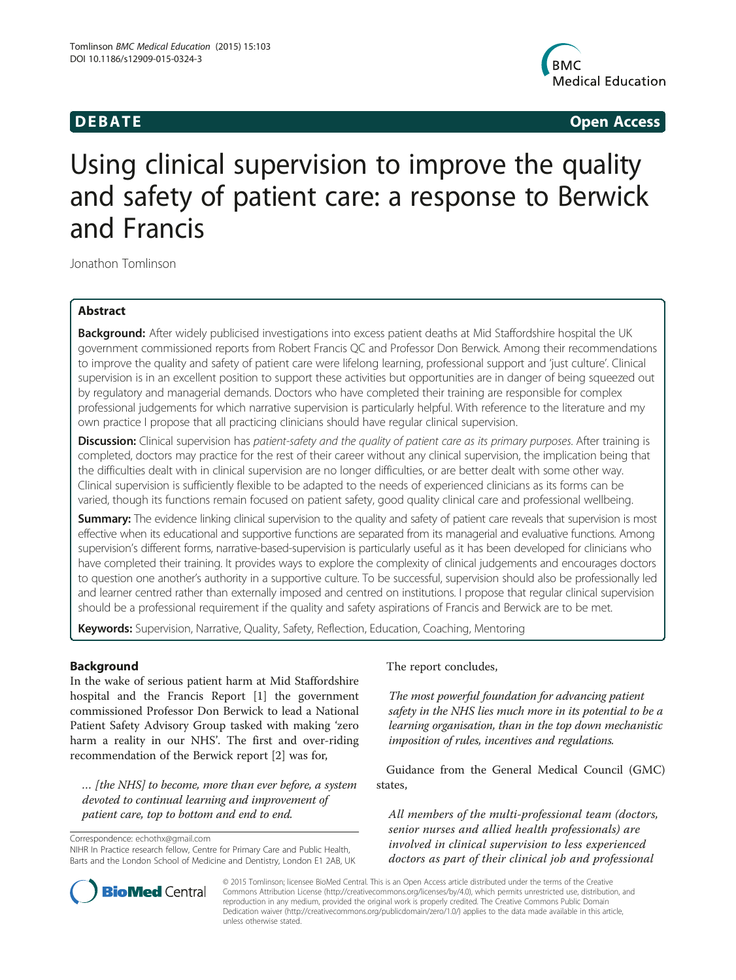

**DEBATE CONSIDERENT CONSIDERED ACCESS** 

# Using clinical supervision to improve the quality and safety of patient care: a response to Berwick and Francis

Jonathon Tomlinson

# Abstract

Background: After widely publicised investigations into excess patient deaths at Mid Staffordshire hospital the UK government commissioned reports from Robert Francis QC and Professor Don Berwick. Among their recommendations to improve the quality and safety of patient care were lifelong learning, professional support and 'just culture'. Clinical supervision is in an excellent position to support these activities but opportunities are in danger of being squeezed out by regulatory and managerial demands. Doctors who have completed their training are responsible for complex professional judgements for which narrative supervision is particularly helpful. With reference to the literature and my own practice I propose that all practicing clinicians should have regular clinical supervision.

Discussion: Clinical supervision has patient-safety and the quality of patient care as its primary purposes. After training is completed, doctors may practice for the rest of their career without any clinical supervision, the implication being that the difficulties dealt with in clinical supervision are no longer difficulties, or are better dealt with some other way. Clinical supervision is sufficiently flexible to be adapted to the needs of experienced clinicians as its forms can be varied, though its functions remain focused on patient safety, good quality clinical care and professional wellbeing.

**Summary:** The evidence linking clinical supervision to the quality and safety of patient care reveals that supervision is most effective when its educational and supportive functions are separated from its managerial and evaluative functions. Among supervision's different forms, narrative-based-supervision is particularly useful as it has been developed for clinicians who have completed their training. It provides ways to explore the complexity of clinical judgements and encourages doctors to question one another's authority in a supportive culture. To be successful, supervision should also be professionally led and learner centred rather than externally imposed and centred on institutions. I propose that regular clinical supervision should be a professional requirement if the quality and safety aspirations of Francis and Berwick are to be met.

Keywords: Supervision, Narrative, Quality, Safety, Reflection, Education, Coaching, Mentoring

# Background

In the wake of serious patient harm at Mid Staffordshire hospital and the Francis Report [\[1](#page-6-0)] the government commissioned Professor Don Berwick to lead a National Patient Safety Advisory Group tasked with making 'zero harm a reality in our NHS'. The first and over-riding recommendation of the Berwick report [\[2\]](#page-6-0) was for,

… [the NHS] to become, more than ever before, a system devoted to continual learning and improvement of patient care, top to bottom and end to end.

Correspondence: [echothx@gmail.com](mailto:echothx@gmail.com)



The most powerful foundation for advancing patient safety in the NHS lies much more in its potential to be a learning organisation, than in the top down mechanistic imposition of rules, incentives and regulations.

Guidance from the General Medical Council (GMC) states,

All members of the multi-professional team (doctors, senior nurses and allied health professionals) are involved in clinical supervision to less experienced doctors as part of their clinical job and professional



© 2015 Tomlinson; licensee BioMed Central. This is an Open Access article distributed under the terms of the Creative Commons Attribution License [\(http://creativecommons.org/licenses/by/4.0\)](http://creativecommons.org/licenses/by/4.0), which permits unrestricted use, distribution, and reproduction in any medium, provided the original work is properly credited. The Creative Commons Public Domain Dedication waiver [\(http://creativecommons.org/publicdomain/zero/1.0/](http://creativecommons.org/publicdomain/zero/1.0/)) applies to the data made available in this article, unless otherwise stated.

NIHR In Practice research fellow, Centre for Primary Care and Public Health, Barts and the London School of Medicine and Dentistry, London E1 2AB, UK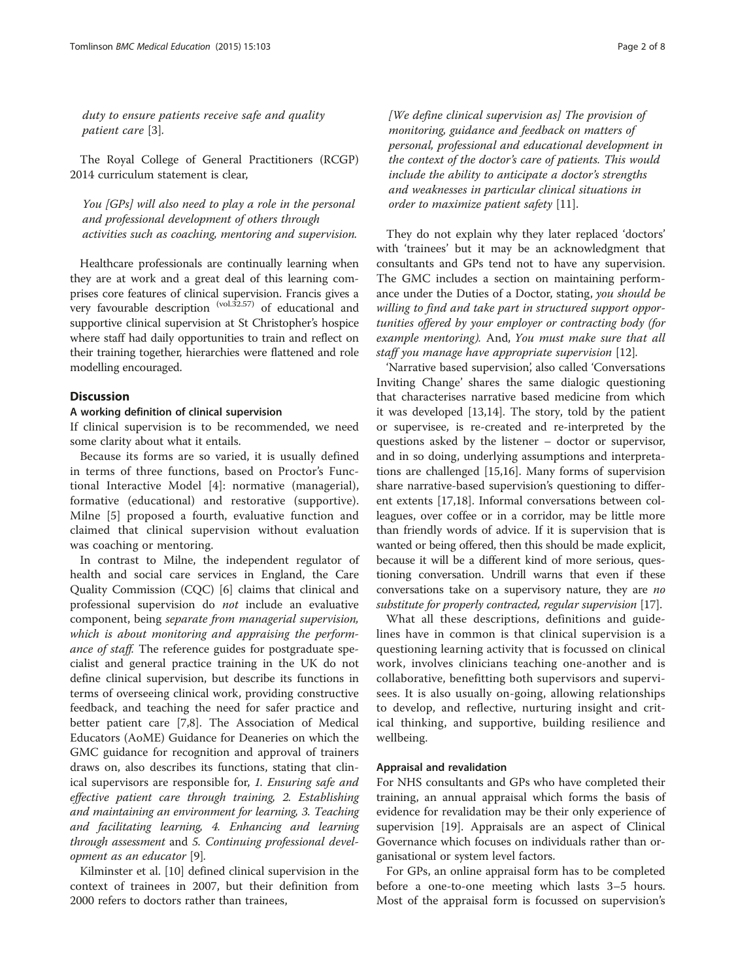duty to ensure patients receive safe and quality patient care [[3\]](#page-6-0).

The Royal College of General Practitioners (RCGP) 2014 curriculum statement is clear,

You [GPs] will also need to play a role in the personal and professional development of others through activities such as coaching, mentoring and supervision.

Healthcare professionals are continually learning when they are at work and a great deal of this learning comprises core features of clinical supervision. Francis gives a very favourable description (vol.32.57) of educational and supportive clinical supervision at St Christopher's hospice where staff had daily opportunities to train and reflect on their training together, hierarchies were flattened and role modelling encouraged.

# **Discussion**

#### A working definition of clinical supervision

If clinical supervision is to be recommended, we need some clarity about what it entails.

Because its forms are so varied, it is usually defined in terms of three functions, based on Proctor's Functional Interactive Model [[4](#page-6-0)]: normative (managerial), formative (educational) and restorative (supportive). Milne [\[5\]](#page-6-0) proposed a fourth, evaluative function and claimed that clinical supervision without evaluation was coaching or mentoring.

In contrast to Milne, the independent regulator of health and social care services in England, the Care Quality Commission (CQC) [[6\]](#page-6-0) claims that clinical and professional supervision do not include an evaluative component, being separate from managerial supervision, which is about monitoring and appraising the performance of staff. The reference guides for postgraduate specialist and general practice training in the UK do not define clinical supervision, but describe its functions in terms of overseeing clinical work, providing constructive feedback, and teaching the need for safer practice and better patient care [\[7,8](#page-6-0)]. The Association of Medical Educators (AoME) Guidance for Deaneries on which the GMC guidance for recognition and approval of trainers draws on, also describes its functions, stating that clinical supervisors are responsible for, 1. Ensuring safe and effective patient care through training, 2. Establishing and maintaining an environment for learning, 3. Teaching and facilitating learning, 4. Enhancing and learning through assessment and 5. Continuing professional development as an educator [[9\]](#page-6-0).

Kilminster et al. [\[10](#page-6-0)] defined clinical supervision in the context of trainees in 2007, but their definition from 2000 refers to doctors rather than trainees,

 $[We define clinical supervision as]$  The provision of monitoring, guidance and feedback on matters of personal, professional and educational development in the context of the doctor's care of patients. This would include the ability to anticipate a doctor's strengths and weaknesses in particular clinical situations in order to maximize patient safety [\[11](#page-6-0)].

They do not explain why they later replaced 'doctors' with 'trainees' but it may be an acknowledgment that consultants and GPs tend not to have any supervision. The GMC includes a section on maintaining performance under the Duties of a Doctor, stating, you should be willing to find and take part in structured support opportunities offered by your employer or contracting body (for example mentoring). And, You must make sure that all staff you manage have appropriate supervision [[12](#page-6-0)].

'Narrative based supervision', also called 'Conversations Inviting Change' shares the same dialogic questioning that characterises narrative based medicine from which it was developed [[13,14\]](#page-6-0). The story, told by the patient or supervisee, is re-created and re-interpreted by the questions asked by the listener – doctor or supervisor, and in so doing, underlying assumptions and interpretations are challenged [\[15,16\]](#page-6-0). Many forms of supervision share narrative-based supervision's questioning to different extents [\[17,18\]](#page-6-0). Informal conversations between colleagues, over coffee or in a corridor, may be little more than friendly words of advice. If it is supervision that is wanted or being offered, then this should be made explicit, because it will be a different kind of more serious, questioning conversation. Undrill warns that even if these conversations take on a supervisory nature, they are no substitute for properly contracted, regular supervision [\[17\]](#page-6-0).

What all these descriptions, definitions and guidelines have in common is that clinical supervision is a questioning learning activity that is focussed on clinical work, involves clinicians teaching one-another and is collaborative, benefitting both supervisors and supervisees. It is also usually on-going, allowing relationships to develop, and reflective, nurturing insight and critical thinking, and supportive, building resilience and wellbeing.

## Appraisal and revalidation

For NHS consultants and GPs who have completed their training, an annual appraisal which forms the basis of evidence for revalidation may be their only experience of supervision [\[19\]](#page-6-0). Appraisals are an aspect of Clinical Governance which focuses on individuals rather than organisational or system level factors.

For GPs, an online appraisal form has to be completed before a one-to-one meeting which lasts 3–5 hours. Most of the appraisal form is focussed on supervision's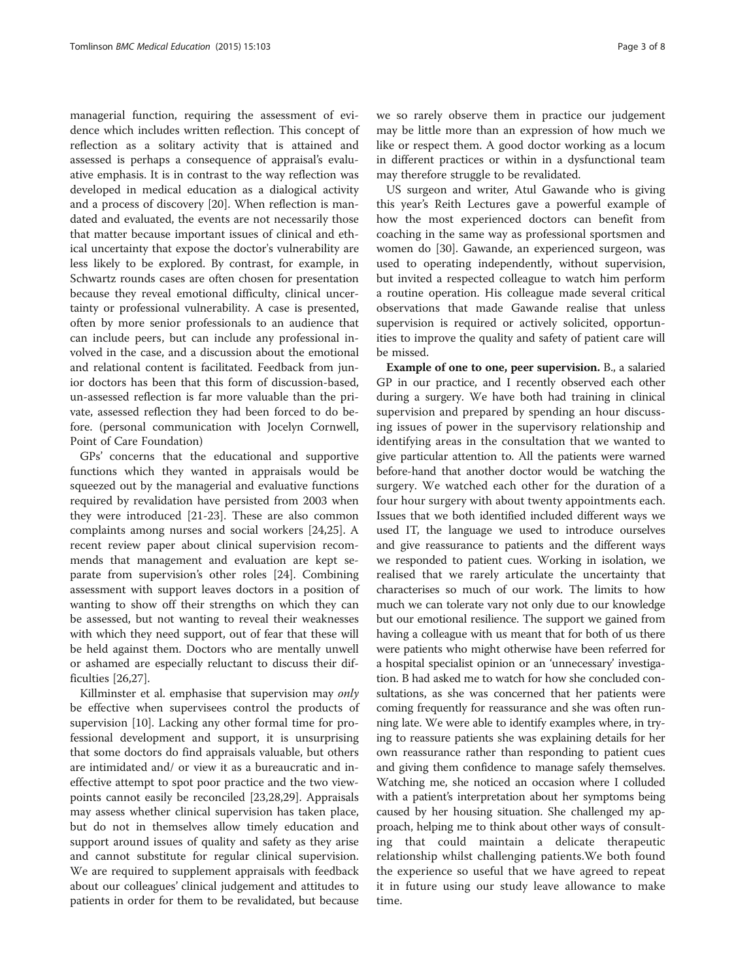managerial function, requiring the assessment of evidence which includes written reflection. This concept of reflection as a solitary activity that is attained and assessed is perhaps a consequence of appraisal's evaluative emphasis. It is in contrast to the way reflection was developed in medical education as a dialogical activity and a process of discovery [\[20](#page-7-0)]. When reflection is mandated and evaluated, the events are not necessarily those that matter because important issues of clinical and ethical uncertainty that expose the doctor's vulnerability are less likely to be explored. By contrast, for example, in Schwartz rounds cases are often chosen for presentation because they reveal emotional difficulty, clinical uncertainty or professional vulnerability. A case is presented, often by more senior professionals to an audience that can include peers, but can include any professional involved in the case, and a discussion about the emotional and relational content is facilitated. Feedback from junior doctors has been that this form of discussion-based, un-assessed reflection is far more valuable than the private, assessed reflection they had been forced to do before. (personal communication with Jocelyn Cornwell, Point of Care Foundation)

GPs' concerns that the educational and supportive functions which they wanted in appraisals would be squeezed out by the managerial and evaluative functions required by revalidation have persisted from 2003 when they were introduced [[21-23\]](#page-7-0). These are also common complaints among nurses and social workers [[24](#page-7-0),[25](#page-7-0)]. A recent review paper about clinical supervision recommends that management and evaluation are kept separate from supervision's other roles [\[24](#page-7-0)]. Combining assessment with support leaves doctors in a position of wanting to show off their strengths on which they can be assessed, but not wanting to reveal their weaknesses with which they need support, out of fear that these will be held against them. Doctors who are mentally unwell or ashamed are especially reluctant to discuss their difficulties [\[26,27](#page-7-0)].

Killminster et al. emphasise that supervision may only be effective when supervisees control the products of supervision [[10\]](#page-6-0). Lacking any other formal time for professional development and support, it is unsurprising that some doctors do find appraisals valuable, but others are intimidated and/ or view it as a bureaucratic and ineffective attempt to spot poor practice and the two viewpoints cannot easily be reconciled [\[23,28,29\]](#page-7-0). Appraisals may assess whether clinical supervision has taken place, but do not in themselves allow timely education and support around issues of quality and safety as they arise and cannot substitute for regular clinical supervision. We are required to supplement appraisals with feedback about our colleagues' clinical judgement and attitudes to patients in order for them to be revalidated, but because

we so rarely observe them in practice our judgement may be little more than an expression of how much we like or respect them. A good doctor working as a locum in different practices or within in a dysfunctional team may therefore struggle to be revalidated.

US surgeon and writer, Atul Gawande who is giving this year's Reith Lectures gave a powerful example of how the most experienced doctors can benefit from coaching in the same way as professional sportsmen and women do [[30\]](#page-7-0). Gawande, an experienced surgeon, was used to operating independently, without supervision, but invited a respected colleague to watch him perform a routine operation. His colleague made several critical observations that made Gawande realise that unless supervision is required or actively solicited, opportunities to improve the quality and safety of patient care will be missed.

Example of one to one, peer supervision. B., a salaried GP in our practice, and I recently observed each other during a surgery. We have both had training in clinical supervision and prepared by spending an hour discussing issues of power in the supervisory relationship and identifying areas in the consultation that we wanted to give particular attention to. All the patients were warned before-hand that another doctor would be watching the surgery. We watched each other for the duration of a four hour surgery with about twenty appointments each. Issues that we both identified included different ways we used IT, the language we used to introduce ourselves and give reassurance to patients and the different ways we responded to patient cues. Working in isolation, we realised that we rarely articulate the uncertainty that characterises so much of our work. The limits to how much we can tolerate vary not only due to our knowledge but our emotional resilience. The support we gained from having a colleague with us meant that for both of us there were patients who might otherwise have been referred for a hospital specialist opinion or an 'unnecessary' investigation. B had asked me to watch for how she concluded consultations, as she was concerned that her patients were coming frequently for reassurance and she was often running late. We were able to identify examples where, in trying to reassure patients she was explaining details for her own reassurance rather than responding to patient cues and giving them confidence to manage safely themselves. Watching me, she noticed an occasion where I colluded with a patient's interpretation about her symptoms being caused by her housing situation. She challenged my approach, helping me to think about other ways of consulting that could maintain a delicate therapeutic relationship whilst challenging patients.We both found the experience so useful that we have agreed to repeat it in future using our study leave allowance to make time.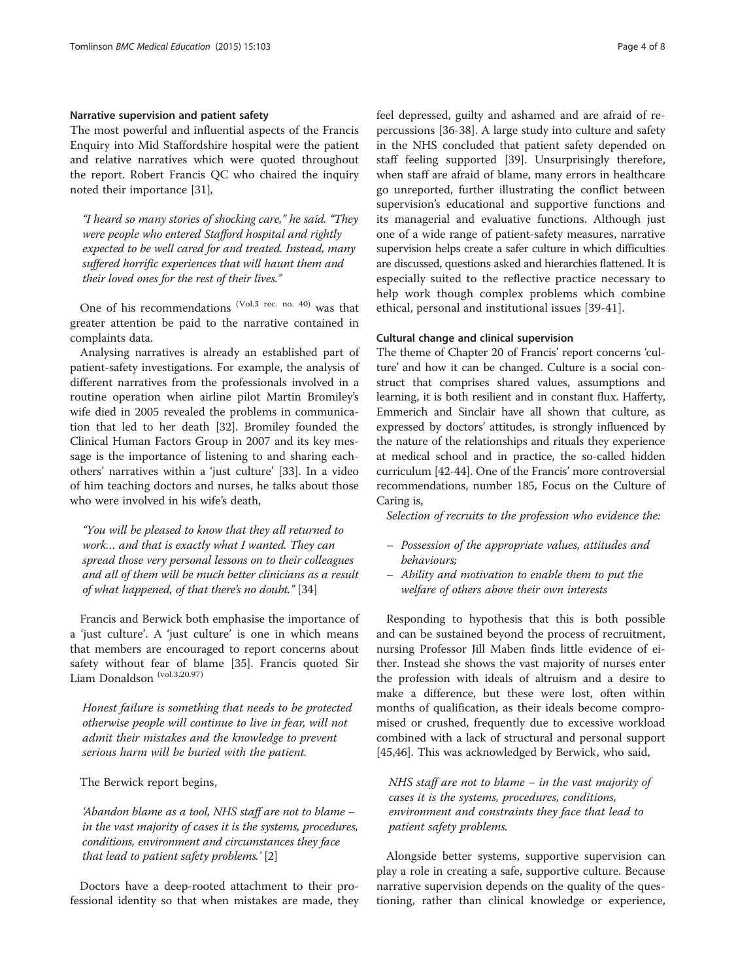#### Narrative supervision and patient safety

The most powerful and influential aspects of the Francis Enquiry into Mid Staffordshire hospital were the patient and relative narratives which were quoted throughout the report. Robert Francis QC who chaired the inquiry noted their importance [[31](#page-7-0)],

"I heard so many stories of shocking care," he said. "They were people who entered Stafford hospital and rightly expected to be well cared for and treated. Instead, many suffered horrific experiences that will haunt them and their loved ones for the rest of their lives."

One of his recommendations (Vol.3 rec. no. 40) was that greater attention be paid to the narrative contained in complaints data.

Analysing narratives is already an established part of patient-safety investigations. For example, the analysis of different narratives from the professionals involved in a routine operation when airline pilot Martin Bromiley's wife died in 2005 revealed the problems in communication that led to her death [[32](#page-7-0)]. Bromiley founded the Clinical Human Factors Group in 2007 and its key message is the importance of listening to and sharing eachothers' narratives within a 'just culture' [[33\]](#page-7-0). In a video of him teaching doctors and nurses, he talks about those who were involved in his wife's death,

"You will be pleased to know that they all returned to work… and that is exactly what I wanted. They can spread those very personal lessons on to their colleagues and all of them will be much better clinicians as a result of what happened, of that there's no doubt." [\[34\]](#page-7-0)

Francis and Berwick both emphasise the importance of a 'just culture'. A 'just culture' is one in which means that members are encouraged to report concerns about safety without fear of blame [[35\]](#page-7-0). Francis quoted Sir Liam Donaldson (vol.3,20.97)

Honest failure is something that needs to be protected otherwise people will continue to live in fear, will not admit their mistakes and the knowledge to prevent serious harm will be buried with the patient.

The Berwick report begins,

'Abandon blame as a tool, NHS staff are not to blame – in the vast majority of cases it is the systems, procedures, conditions, environment and circumstances they face that lead to patient safety problems.' [\[2\]](#page-6-0)

Doctors have a deep-rooted attachment to their professional identity so that when mistakes are made, they feel depressed, guilty and ashamed and are afraid of repercussions [\[36](#page-7-0)-[38](#page-7-0)]. A large study into culture and safety in the NHS concluded that patient safety depended on staff feeling supported [[39](#page-7-0)]. Unsurprisingly therefore, when staff are afraid of blame, many errors in healthcare go unreported, further illustrating the conflict between supervision's educational and supportive functions and its managerial and evaluative functions. Although just one of a wide range of patient-safety measures, narrative supervision helps create a safer culture in which difficulties are discussed, questions asked and hierarchies flattened. It is especially suited to the reflective practice necessary to help work though complex problems which combine ethical, personal and institutional issues [\[39-41](#page-7-0)].

# Cultural change and clinical supervision

The theme of Chapter 20 of Francis' report concerns 'culture' and how it can be changed. Culture is a social construct that comprises shared values, assumptions and learning, it is both resilient and in constant flux. Hafferty, Emmerich and Sinclair have all shown that culture, as expressed by doctors' attitudes, is strongly influenced by the nature of the relationships and rituals they experience at medical school and in practice, the so-called hidden curriculum [[42](#page-7-0)-[44](#page-7-0)]. One of the Francis' more controversial recommendations, number 185, Focus on the Culture of Caring is,

Selection of recruits to the profession who evidence the:

- Possession of the appropriate values, attitudes and behaviours;
- Ability and motivation to enable them to put the welfare of others above their own interests

Responding to hypothesis that this is both possible and can be sustained beyond the process of recruitment, nursing Professor Jill Maben finds little evidence of either. Instead she shows the vast majority of nurses enter the profession with ideals of altruism and a desire to make a difference, but these were lost, often within months of qualification, as their ideals become compromised or crushed, frequently due to excessive workload combined with a lack of structural and personal support [[45,46\]](#page-7-0). This was acknowledged by Berwick, who said,

NHS staff are not to blame – in the vast majority of cases it is the systems, procedures, conditions, environment and constraints they face that lead to patient safety problems.

Alongside better systems, supportive supervision can play a role in creating a safe, supportive culture. Because narrative supervision depends on the quality of the questioning, rather than clinical knowledge or experience,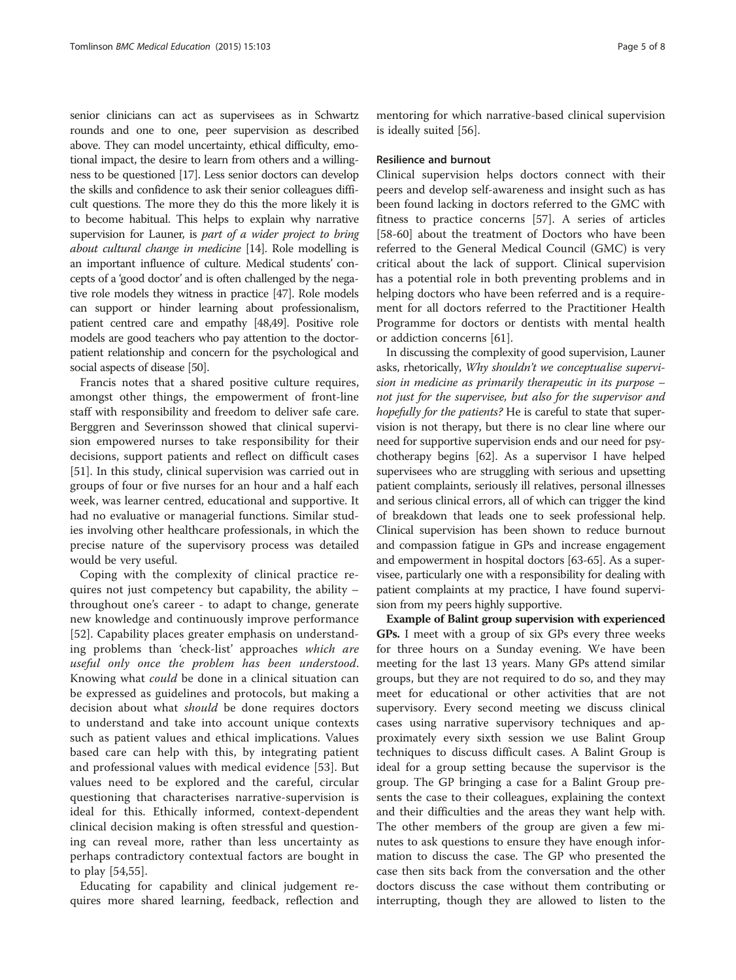senior clinicians can act as supervisees as in Schwartz rounds and one to one, peer supervision as described above. They can model uncertainty, ethical difficulty, emotional impact, the desire to learn from others and a willingness to be questioned [[17](#page-6-0)]. Less senior doctors can develop the skills and confidence to ask their senior colleagues difficult questions. The more they do this the more likely it is to become habitual. This helps to explain why narrative supervision for Launer, is part of a wider project to bring about cultural change in medicine [\[14](#page-6-0)]. Role modelling is an important influence of culture. Medical students' concepts of a 'good doctor' and is often challenged by the negative role models they witness in practice [[47](#page-7-0)]. Role models can support or hinder learning about professionalism, patient centred care and empathy [\[48,49](#page-7-0)]. Positive role models are good teachers who pay attention to the doctorpatient relationship and concern for the psychological and social aspects of disease [\[50](#page-7-0)].

Francis notes that a shared positive culture requires, amongst other things, the empowerment of front-line staff with responsibility and freedom to deliver safe care. Berggren and Severinsson showed that clinical supervision empowered nurses to take responsibility for their decisions, support patients and reflect on difficult cases [[51\]](#page-7-0). In this study, clinical supervision was carried out in groups of four or five nurses for an hour and a half each week, was learner centred, educational and supportive. It had no evaluative or managerial functions. Similar studies involving other healthcare professionals, in which the precise nature of the supervisory process was detailed would be very useful.

Coping with the complexity of clinical practice requires not just competency but capability, the ability – throughout one's career - to adapt to change, generate new knowledge and continuously improve performance [[52\]](#page-7-0). Capability places greater emphasis on understanding problems than 'check-list' approaches which are useful only once the problem has been understood. Knowing what could be done in a clinical situation can be expressed as guidelines and protocols, but making a decision about what should be done requires doctors to understand and take into account unique contexts such as patient values and ethical implications. Values based care can help with this, by integrating patient and professional values with medical evidence [\[53](#page-7-0)]. But values need to be explored and the careful, circular questioning that characterises narrative-supervision is ideal for this. Ethically informed, context-dependent clinical decision making is often stressful and questioning can reveal more, rather than less uncertainty as perhaps contradictory contextual factors are bought in to play [[54,55\]](#page-7-0).

Educating for capability and clinical judgement requires more shared learning, feedback, reflection and

mentoring for which narrative-based clinical supervision is ideally suited [[56](#page-7-0)].

# Resilience and burnout

Clinical supervision helps doctors connect with their peers and develop self-awareness and insight such as has been found lacking in doctors referred to the GMC with fitness to practice concerns [[57\]](#page-7-0). A series of articles [[58-60](#page-7-0)] about the treatment of Doctors who have been referred to the General Medical Council (GMC) is very critical about the lack of support. Clinical supervision has a potential role in both preventing problems and in helping doctors who have been referred and is a requirement for all doctors referred to the Practitioner Health Programme for doctors or dentists with mental health or addiction concerns [\[61](#page-7-0)].

In discussing the complexity of good supervision, Launer asks, rhetorically, Why shouldn't we conceptualise supervision in medicine as primarily therapeutic in its purpose – not just for the supervisee, but also for the supervisor and hopefully for the patients? He is careful to state that supervision is not therapy, but there is no clear line where our need for supportive supervision ends and our need for psychotherapy begins [\[62\]](#page-7-0). As a supervisor I have helped supervisees who are struggling with serious and upsetting patient complaints, seriously ill relatives, personal illnesses and serious clinical errors, all of which can trigger the kind of breakdown that leads one to seek professional help. Clinical supervision has been shown to reduce burnout and compassion fatigue in GPs and increase engagement and empowerment in hospital doctors [\[63-65](#page-7-0)]. As a supervisee, particularly one with a responsibility for dealing with patient complaints at my practice, I have found supervision from my peers highly supportive.

Example of Balint group supervision with experienced GPs. I meet with a group of six GPs every three weeks for three hours on a Sunday evening. We have been meeting for the last 13 years. Many GPs attend similar groups, but they are not required to do so, and they may meet for educational or other activities that are not supervisory. Every second meeting we discuss clinical cases using narrative supervisory techniques and approximately every sixth session we use Balint Group techniques to discuss difficult cases. A Balint Group is ideal for a group setting because the supervisor is the group. The GP bringing a case for a Balint Group presents the case to their colleagues, explaining the context and their difficulties and the areas they want help with. The other members of the group are given a few minutes to ask questions to ensure they have enough information to discuss the case. The GP who presented the case then sits back from the conversation and the other doctors discuss the case without them contributing or interrupting, though they are allowed to listen to the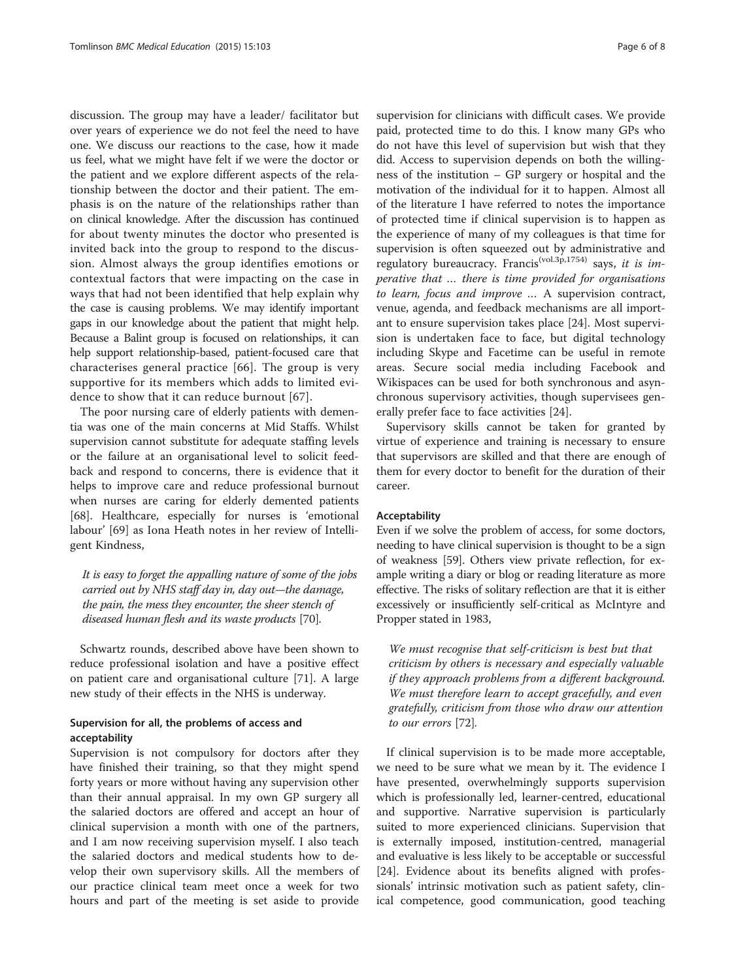discussion. The group may have a leader/ facilitator but over years of experience we do not feel the need to have one. We discuss our reactions to the case, how it made us feel, what we might have felt if we were the doctor or the patient and we explore different aspects of the relationship between the doctor and their patient. The emphasis is on the nature of the relationships rather than on clinical knowledge. After the discussion has continued for about twenty minutes the doctor who presented is invited back into the group to respond to the discussion. Almost always the group identifies emotions or contextual factors that were impacting on the case in ways that had not been identified that help explain why the case is causing problems. We may identify important gaps in our knowledge about the patient that might help. Because a Balint group is focused on relationships, it can help support relationship-based, patient-focused care that characterises general practice [[66](#page-7-0)]. The group is very supportive for its members which adds to limited evidence to show that it can reduce burnout [[67](#page-7-0)].

The poor nursing care of elderly patients with dementia was one of the main concerns at Mid Staffs. Whilst supervision cannot substitute for adequate staffing levels or the failure at an organisational level to solicit feedback and respond to concerns, there is evidence that it helps to improve care and reduce professional burnout when nurses are caring for elderly demented patients [[68\]](#page-7-0). Healthcare, especially for nurses is 'emotional labour' [\[69](#page-7-0)] as Iona Heath notes in her review of Intelligent Kindness,

It is easy to forget the appalling nature of some of the jobs carried out by NHS staff day in, day out—the damage, the pain, the mess they encounter, the sheer stench of diseased human flesh and its waste products [\[70](#page-7-0)].

Schwartz rounds, described above have been shown to reduce professional isolation and have a positive effect on patient care and organisational culture [[71\]](#page-7-0). A large new study of their effects in the NHS is underway.

# Supervision for all, the problems of access and acceptability

Supervision is not compulsory for doctors after they have finished their training, so that they might spend forty years or more without having any supervision other than their annual appraisal. In my own GP surgery all the salaried doctors are offered and accept an hour of clinical supervision a month with one of the partners, and I am now receiving supervision myself. I also teach the salaried doctors and medical students how to develop their own supervisory skills. All the members of our practice clinical team meet once a week for two hours and part of the meeting is set aside to provide

supervision for clinicians with difficult cases. We provide paid, protected time to do this. I know many GPs who do not have this level of supervision but wish that they did. Access to supervision depends on both the willingness of the institution – GP surgery or hospital and the motivation of the individual for it to happen. Almost all of the literature I have referred to notes the importance of protected time if clinical supervision is to happen as the experience of many of my colleagues is that time for supervision is often squeezed out by administrative and regulatory bureaucracy. Francis<sup>(vol.3p,1754)</sup> says, it is imperative that … there is time provided for organisations to learn, focus and improve … A supervision contract, venue, agenda, and feedback mechanisms are all important to ensure supervision takes place [[24\]](#page-7-0). Most supervision is undertaken face to face, but digital technology including Skype and Facetime can be useful in remote areas. Secure social media including Facebook and Wikispaces can be used for both synchronous and asynchronous supervisory activities, though supervisees generally prefer face to face activities [[24](#page-7-0)].

Supervisory skills cannot be taken for granted by virtue of experience and training is necessary to ensure that supervisors are skilled and that there are enough of them for every doctor to benefit for the duration of their career.

# Acceptability

Even if we solve the problem of access, for some doctors, needing to have clinical supervision is thought to be a sign of weakness [\[59](#page-7-0)]. Others view private reflection, for example writing a diary or blog or reading literature as more effective. The risks of solitary reflection are that it is either excessively or insufficiently self-critical as McIntyre and Propper stated in 1983,

We must recognise that self-criticism is best but that criticism by others is necessary and especially valuable if they approach problems from a different background. We must therefore learn to accept gracefully, and even gratefully, criticism from those who draw our attention to our errors [[72](#page-7-0)].

If clinical supervision is to be made more acceptable, we need to be sure what we mean by it. The evidence I have presented, overwhelmingly supports supervision which is professionally led, learner-centred, educational and supportive. Narrative supervision is particularly suited to more experienced clinicians. Supervision that is externally imposed, institution-centred, managerial and evaluative is less likely to be acceptable or successful [[24\]](#page-7-0). Evidence about its benefits aligned with professionals' intrinsic motivation such as patient safety, clinical competence, good communication, good teaching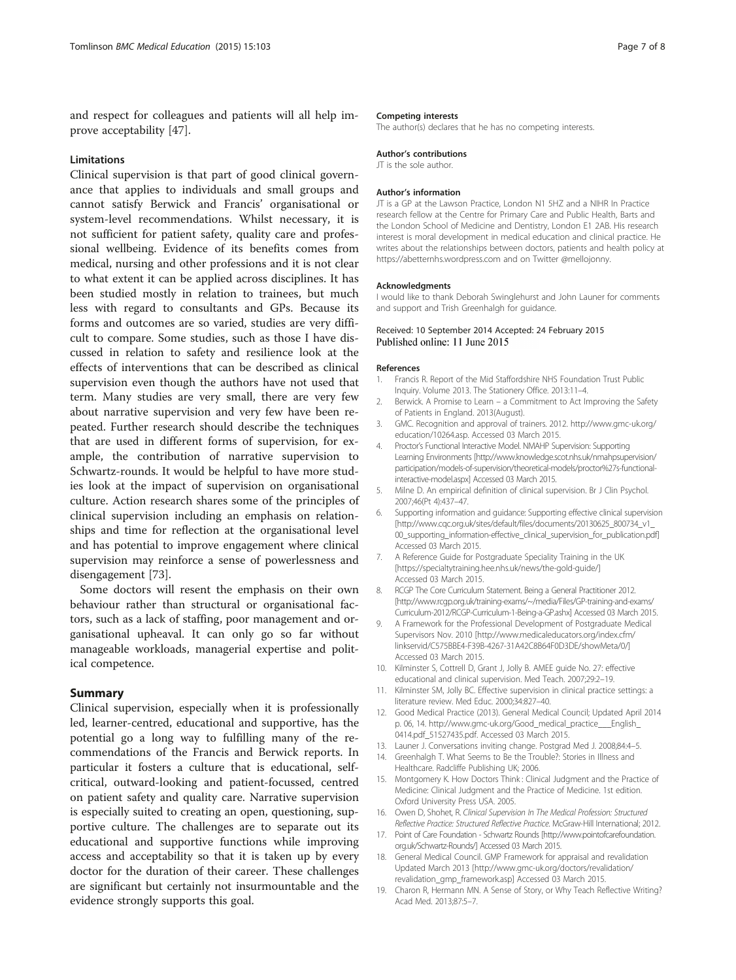<span id="page-6-0"></span>and respect for colleagues and patients will all help improve acceptability [\[47](#page-7-0)].

# Limitations

Clinical supervision is that part of good clinical governance that applies to individuals and small groups and cannot satisfy Berwick and Francis' organisational or system-level recommendations. Whilst necessary, it is not sufficient for patient safety, quality care and professional wellbeing. Evidence of its benefits comes from medical, nursing and other professions and it is not clear to what extent it can be applied across disciplines. It has been studied mostly in relation to trainees, but much less with regard to consultants and GPs. Because its forms and outcomes are so varied, studies are very difficult to compare. Some studies, such as those I have discussed in relation to safety and resilience look at the effects of interventions that can be described as clinical supervision even though the authors have not used that term. Many studies are very small, there are very few about narrative supervision and very few have been repeated. Further research should describe the techniques that are used in different forms of supervision, for example, the contribution of narrative supervision to Schwartz-rounds. It would be helpful to have more studies look at the impact of supervision on organisational culture. Action research shares some of the principles of clinical supervision including an emphasis on relationships and time for reflection at the organisational level and has potential to improve engagement where clinical supervision may reinforce a sense of powerlessness and disengagement [[73](#page-7-0)].

Some doctors will resent the emphasis on their own behaviour rather than structural or organisational factors, such as a lack of staffing, poor management and organisational upheaval. It can only go so far without manageable workloads, managerial expertise and political competence.

# Summary

Clinical supervision, especially when it is professionally led, learner-centred, educational and supportive, has the potential go a long way to fulfilling many of the recommendations of the Francis and Berwick reports. In particular it fosters a culture that is educational, selfcritical, outward-looking and patient-focussed, centred on patient safety and quality care. Narrative supervision is especially suited to creating an open, questioning, supportive culture. The challenges are to separate out its educational and supportive functions while improving access and acceptability so that it is taken up by every doctor for the duration of their career. These challenges are significant but certainly not insurmountable and the evidence strongly supports this goal.

#### Competing interests

The author(s) declares that he has no competing interests.

#### Author's contributions

JT is the sole author.

## Author's information

JT is a GP at the Lawson Practice, London N1 5HZ and a NIHR In Practice research fellow at the Centre for Primary Care and Public Health, Barts and the London School of Medicine and Dentistry, London E1 2AB. His research interest is moral development in medical education and clinical practice. He writes about the relationships between doctors, patients and health policy at <https://abetternhs.wordpress.com> and on Twitter @mellojonny.

#### Acknowledgments

I would like to thank Deborah Swinglehurst and John Launer for comments and support and Trish Greenhalgh for guidance.

#### Received: 10 September 2014 Accepted: 24 February 2015 Published online: 11 June 2015

#### References

- 1. Francis R. Report of the Mid Staffordshire NHS Foundation Trust Public Inquiry. Volume 2013. The Stationery Office. 2013:11–4.
- 2. Berwick. A Promise to Learn a Commitment to Act Improving the Safety of Patients in England. 2013(August).
- 3. GMC. Recognition and approval of trainers. 2012. [http://www.gmc-uk.org/](http://www.gmc-uk.org/education/10264.asp) [education/10264.asp.](http://www.gmc-uk.org/education/10264.asp) Accessed 03 March 2015.
- 4. Proctor's Functional Interactive Model. NMAHP Supervision: Supporting Learning Environments [\[http://www.knowledge.scot.nhs.uk/nmahpsupervision/](http://www.knowledge.scot.nhs.uk/nmahpsupervision/participation/models-of-supervision/theoretical-models/proctor%27s-functional-interactive-model.aspx) [participation/models-of-supervision/theoretical-models/proctor%27s-functional](http://www.knowledge.scot.nhs.uk/nmahpsupervision/participation/models-of-supervision/theoretical-models/proctor%27s-functional-interactive-model.aspx)[interactive-model.aspx](http://www.knowledge.scot.nhs.uk/nmahpsupervision/participation/models-of-supervision/theoretical-models/proctor%27s-functional-interactive-model.aspx)] Accessed 03 March 2015.
- 5. Milne D. An empirical definition of clinical supervision. Br J Clin Psychol. 2007;46(Pt 4):437–47.
- 6. Supporting information and guidance: Supporting effective clinical supervision [[http://www.cqc.org.uk/sites/default/files/documents/20130625\\_800734\\_v1\\_](http://www.cqc.org.uk/sites/default/files/documents/20130625_800734_v1_00_supporting_information-effective_clinical_supervision_for_publication.pdf) [00\\_supporting\\_information-effective\\_clinical\\_supervision\\_for\\_publication.pdf](http://www.cqc.org.uk/sites/default/files/documents/20130625_800734_v1_00_supporting_information-effective_clinical_supervision_for_publication.pdf)] Accessed 03 March 2015.
- 7. A Reference Guide for Postgraduate Speciality Training in the UK [<https://specialtytraining.hee.nhs.uk/news/the-gold-guide/>] Accessed 03 March 2015.
- 8. RCGP The Core Curriculum Statement. Being a General Practitioner 2012. [\[http://www.rcgp.org.uk/training-exams/~/media/Files/GP-training-and-exams/](http://www.rcgp.org.uk/training-exams/~/media/Files/GP-training-and-exams/Curriculum-2012/RCGP-Curriculum-1-Being-a-GP.ashx) [Curriculum-2012/RCGP-Curriculum-1-Being-a-GP.ashx](http://www.rcgp.org.uk/training-exams/~/media/Files/GP-training-and-exams/Curriculum-2012/RCGP-Curriculum-1-Being-a-GP.ashx)] Accessed 03 March 2015.
- 9. A Framework for the Professional Development of Postgraduate Medical Supervisors Nov. 2010 [\[http://www.medicaleducators.org/index.cfm/](http://www.medicaleducators.org/index.cfm/linkservid/C575BBE4-F39B-4267-31A42C8B64F0D3DE/showMeta/0/) [linkservid/C575BBE4-F39B-4267-31A42C8B64F0D3DE/showMeta/0/\]](http://www.medicaleducators.org/index.cfm/linkservid/C575BBE4-F39B-4267-31A42C8B64F0D3DE/showMeta/0/) Accessed 03 March 2015.
- 10. Kilminster S, Cottrell D, Grant J, Jolly B. AMEE guide No. 27: effective educational and clinical supervision. Med Teach. 2007;29:2–19.
- 11. Kilminster SM, Jolly BC. Effective supervision in clinical practice settings: a literature review. Med Educ. 2000;34:827–40.
- 12. Good Medical Practice (2013). General Medical Council; Updated April 2014 p. 06, 14. [http://www.gmc-uk.org/Good\\_medical\\_practice\\_\\_\\_English\\_](http://www.gmc-uk.org/Good_medical_practice___English_0414.pdf_51527435.pdf) [0414.pdf\\_51527435.pdf.](http://www.gmc-uk.org/Good_medical_practice___English_0414.pdf_51527435.pdf) Accessed 03 March 2015.
- 13. Launer J. Conversations inviting change. Postgrad Med J. 2008;84:4–5.
- 14. Greenhalgh T. What Seems to Be the Trouble?: Stories in Illness and Healthcare. Radcliffe Publishing UK; 2006.
- 15. Montgomery K. How Doctors Think : Clinical Judgment and the Practice of Medicine: Clinical Judgment and the Practice of Medicine. 1st edition. Oxford University Press USA. 2005.
- 16. Owen D, Shohet, R. Clinical Supervision In The Medical Profession: Structured Reflective Practice: Structured Reflective Practice. McGraw-Hill International; 2012.
- 17. Point of Care Foundation Schwartz Rounds [\[http://www.pointofcarefoundation.](http://www.pointofcarefoundation.org.uk/Schwartz-Rounds/) [org.uk/Schwartz-Rounds/\]](http://www.pointofcarefoundation.org.uk/Schwartz-Rounds/) Accessed 03 March 2015.
- 18. General Medical Council. GMP Framework for appraisal and revalidation Updated March 2013 [\[http://www.gmc-uk.org/doctors/revalidation/](http://www.gmc-uk.org/doctors/revalidation/revalidation_gmp_framework.asp) [revalidation\\_gmp\\_framework.asp\]](http://www.gmc-uk.org/doctors/revalidation/revalidation_gmp_framework.asp) Accessed 03 March 2015.
- 19. Charon R, Hermann MN. A Sense of Story, or Why Teach Reflective Writing? Acad Med. 2013;87:5–7.